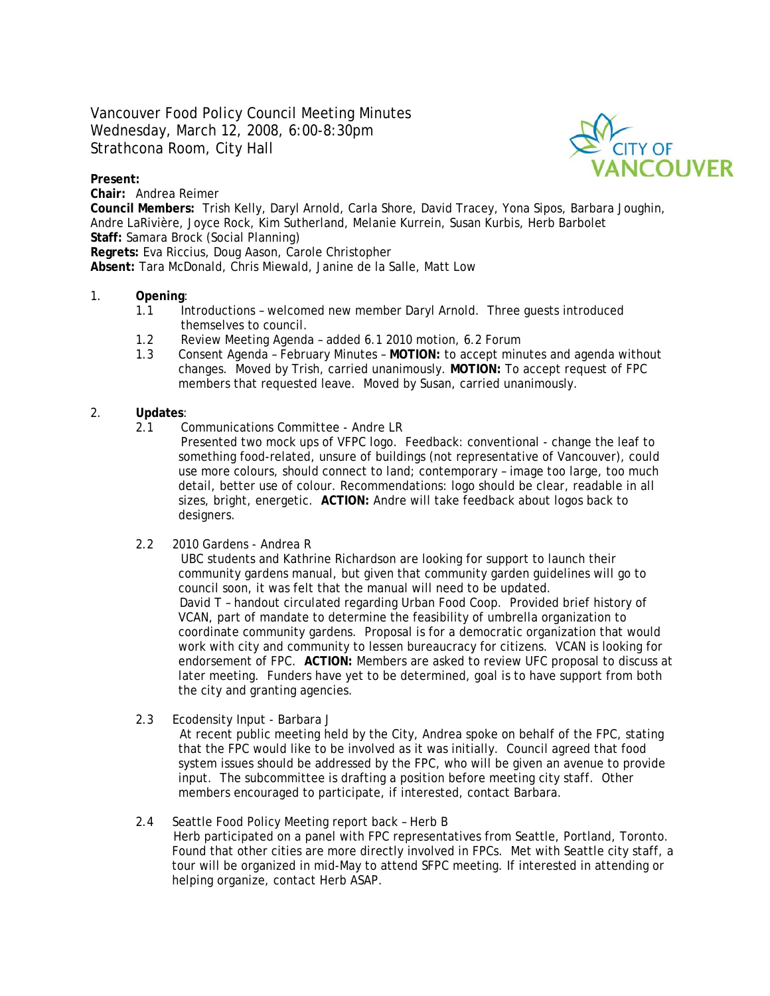Vancouver Food Policy Council Meeting Minutes Wednesday, March 12, 2008, 6:00-8:30pm Strathcona Room, City Hall

### **Present:**

**Chair:** Andrea Reimer

**Council Members:** Trish Kelly, Daryl Arnold, Carla Shore, David Tracey, Yona Sipos, Barbara Joughin, Andre LaRivière, Joyce Rock, Kim Sutherland, Melanie Kurrein, Susan Kurbis, Herb Barbolet **Staff:** Samara Brock (Social Planning)

**Regrets:** Eva Riccius, Doug Aason, Carole Christopher

**Absent:** Tara McDonald, Chris Miewald, Janine de la Salle, Matt Low

# 1. **Opening**:

- 1.1 Introductions welcomed new member Daryl Arnold. Three guests introduced themselves to council.
- 1.2 Review Meeting Agenda added 6.1 2010 motion, 6.2 Forum
- 1.3 Consent Agenda February Minutes **MOTION:** to accept minutes and agenda without changes. Moved by Trish, carried unanimously. **MOTION:** To accept request of FPC members that requested leave. Moved by Susan, carried unanimously.

#### 2. **Updates**:

- 2.1 Communications Committee Andre LR
	- Presented two mock ups of VFPC logo. Feedback: conventional change the leaf to something food-related, unsure of buildings (not representative of Vancouver), could use more colours, should connect to land; contemporary – image too large, too much detail, better use of colour. Recommendations: logo should be clear, readable in all sizes, bright, energetic. **ACTION:** Andre will take feedback about logos back to designers.
- 2.2 2010 Gardens Andrea R

 UBC students and Kathrine Richardson are looking for support to launch their community gardens manual, but given that community garden guidelines will go to council soon, it was felt that the manual will need to be updated. David T – handout circulated regarding Urban Food Coop. Provided brief history of VCAN, part of mandate to determine the feasibility of umbrella organization to coordinate community gardens. Proposal is for a democratic organization that would work with city and community to lessen bureaucracy for citizens. VCAN is looking for endorsement of FPC. **ACTION:** Members are asked to review UFC proposal to discuss at later meeting. Funders have yet to be determined, goal is to have support from both the city and granting agencies.

2.3 Ecodensity Input - Barbara J

At recent public meeting held by the City, Andrea spoke on behalf of the FPC, stating that the FPC would like to be involved as it was initially. Council agreed that food system issues should be addressed by the FPC, who will be given an avenue to provide input. The subcommittee is drafting a position before meeting city staff. Other members encouraged to participate, if interested, contact Barbara.

#### 2.4 Seattle Food Policy Meeting report back – Herb B

Herb participated on a panel with FPC representatives from Seattle, Portland, Toronto. Found that other cities are more directly involved in FPCs. Met with Seattle city staff, a tour will be organized in mid-May to attend SFPC meeting. If interested in attending or helping organize, contact Herb ASAP.

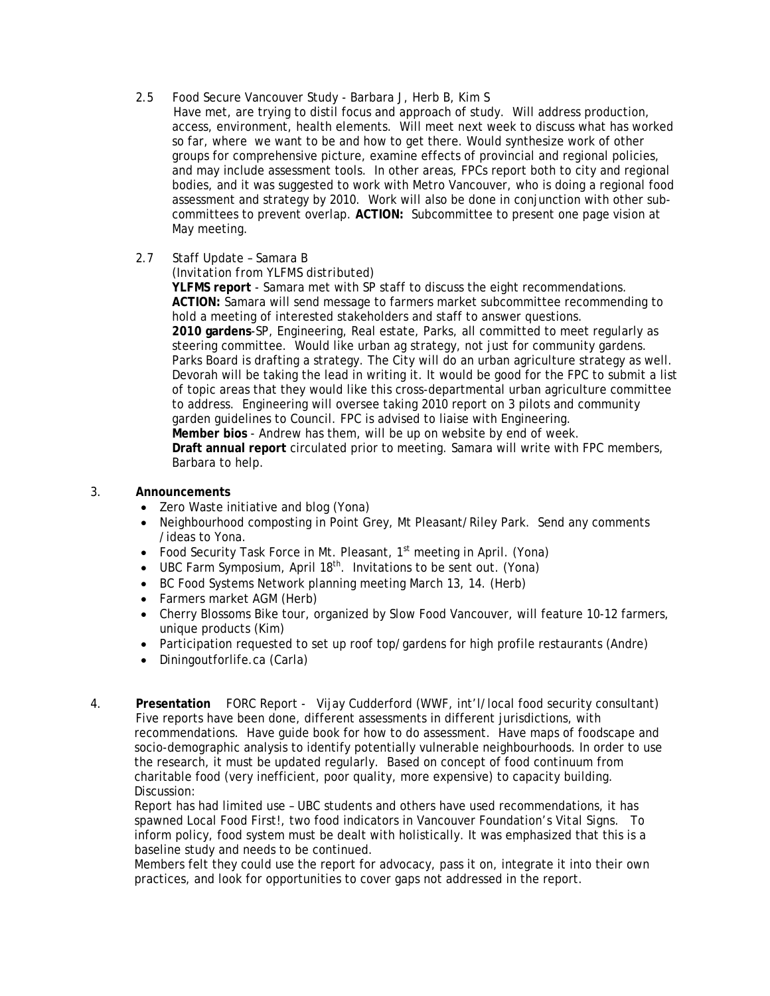- 2.5 Food Secure Vancouver Study Barbara J, Herb B, Kim S
	- Have met, are trying to distil focus and approach of study. Will address production, access, environment, health elements. Will meet next week to discuss what has worked so far, where we want to be and how to get there. Would synthesize work of other groups for comprehensive picture, examine effects of provincial and regional policies, and may include assessment tools. In other areas, FPCs report both to city and regional bodies, and it was suggested to work with Metro Vancouver, who is doing a regional food assessment and strategy by 2010. Work will also be done in conjunction with other subcommittees to prevent overlap. **ACTION:** Subcommittee to present one page vision at May meeting.
- 2.7 Staff Update Samara B
	- *(Invitation from YLFMS distributed)*

**YLFMS report** - Samara met with SP staff to discuss the eight recommendations. **ACTION:** Samara will send message to farmers market subcommittee recommending to hold a meeting of interested stakeholders and staff to answer questions. **2010 gardens**-SP, Engineering, Real estate, Parks, all committed to meet regularly as steering committee. Would like urban ag strategy, not just for community gardens. Parks Board is drafting a strategy. The City will do an urban agriculture strategy as well. Devorah will be taking the lead in writing it. It would be good for the FPC to submit a list of topic areas that they would like this cross-departmental urban agriculture committee to address. Engineering will oversee taking 2010 report on 3 pilots and community garden guidelines to Council. FPC is advised to liaise with Engineering. **Member bios** - Andrew has them, will be up on website by end of week. **Draft annual report** circulated prior to meeting. Samara will write with FPC members, Barbara to help.

- 3. **Announcements** 
	- Zero Waste initiative and blog (Yona)
	- Neighbourhood composting in Point Grey, Mt Pleasant/Riley Park. Send any comments /ideas to Yona.
	- Food Security Task Force in Mt. Pleasant, 1<sup>st</sup> meeting in April. (Yona)
	- UBC Farm Symposium, April  $18<sup>th</sup>$ . Invitations to be sent out. (Yona)
	- BC Food Systems Network planning meeting March 13, 14. (Herb)
	- Farmers market AGM (Herb)
	- Cherry Blossoms Bike tour, organized by Slow Food Vancouver, will feature 10-12 farmers, unique products (Kim)
	- Participation requested to set up roof top/gardens for high profile restaurants (Andre)
	- Diningoutforlife.ca (Carla)
- 4. **Presentation** FORC Report Vijay Cudderford (WWF, int'l/local food security consultant) Five reports have been done, different assessments in different jurisdictions, with recommendations. Have guide book for how to do assessment. Have maps of foodscape and socio-demographic analysis to identify potentially vulnerable neighbourhoods. In order to use the research, it must be updated regularly. Based on concept of food continuum from charitable food (very inefficient, poor quality, more expensive) to capacity building. Discussion:

Report has had limited use – UBC students and others have used recommendations, it has spawned Local Food First!, two food indicators in Vancouver Foundation's *Vital Signs.* To inform policy, food system must be dealt with holistically. It was emphasized that this is a baseline study and needs to be continued.

Members felt they could use the report for advocacy, pass it on, integrate it into their own practices, and look for opportunities to cover gaps not addressed in the report.